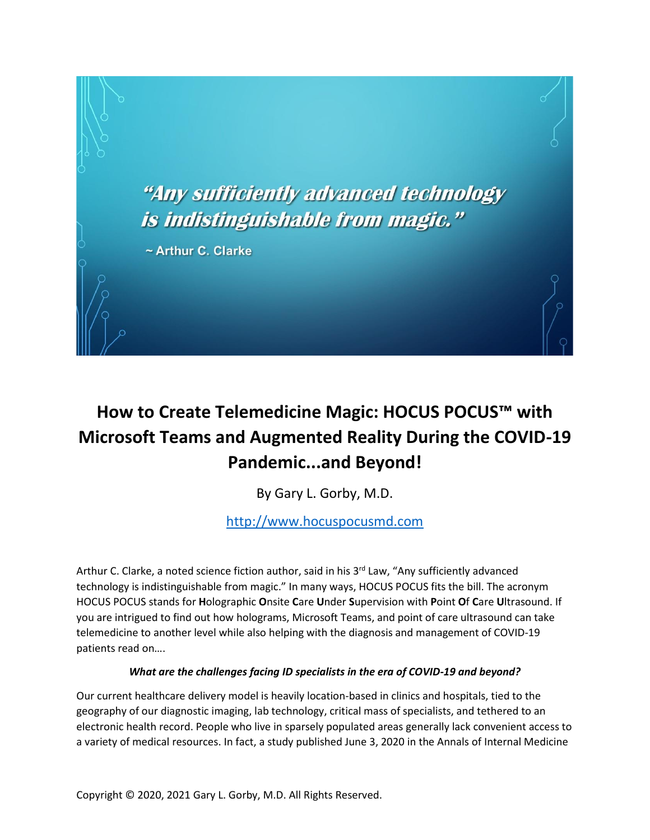

# **How to Create Telemedicine Magic: HOCUS POCUS™ with Microsoft Teams and Augmented Reality During the COVID-19 Pandemic...and Beyond!**

By Gary L. Gorby, M.D.

[http://www.hocuspocusmd.com](http://www.hocuspocusmd.com/)

Arthur C. Clarke, a noted science fiction author, said in his 3<sup>rd</sup> Law, "Any sufficiently advanced technology is indistinguishable from magic." In many ways, HOCUS POCUS fits the bill. The acronym HOCUS POCUS stands for **H**olographic **O**nsite **C**are **U**nder **S**upervision with **P**oint **O**f **C**are **U**ltrasound. If you are intrigued to find out how holograms, Microsoft Teams, and point of care ultrasound can take telemedicine to another level while also helping with the diagnosis and management of COVID-19 patients read on….

# *What are the challenges facing ID specialists in the era of COVID-19 and beyond?*

Our current healthcare delivery model is heavily location-based in clinics and hospitals, tied to the geography of our diagnostic imaging, lab technology, critical mass of specialists, and tethered to an electronic health record. People who live in sparsely populated areas generally lack convenient access to a variety of medical resources. In fact, a study published June 3, 2020 in the Annals of Internal Medicine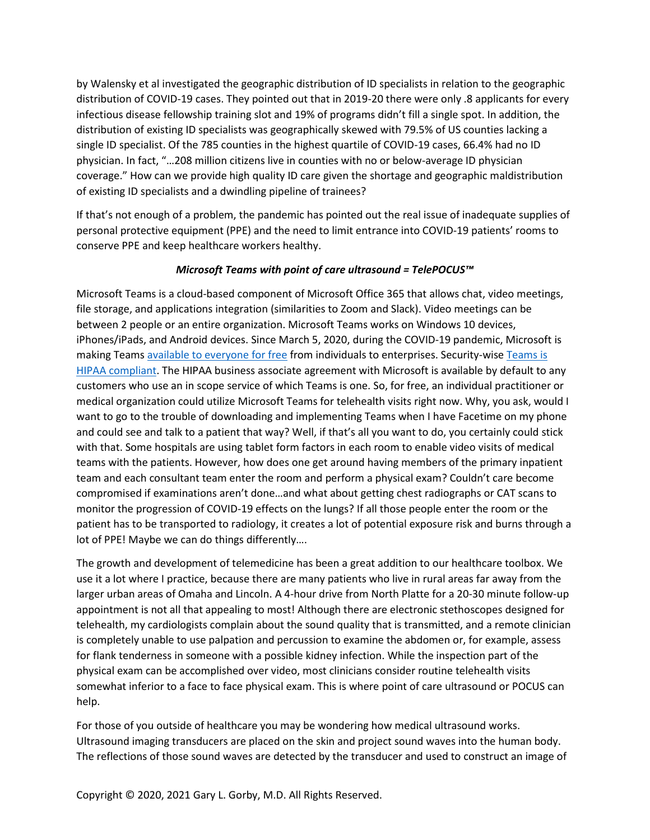by Walensky et al investigated the geographic distribution of ID specialists in relation to the geographic distribution of COVID-19 cases. They pointed out that in 2019-20 there were only .8 applicants for every infectious disease fellowship training slot and 19% of programs didn't fill a single spot. In addition, the distribution of existing ID specialists was geographically skewed with 79.5% of US counties lacking a single ID specialist. Of the 785 counties in the highest quartile of COVID-19 cases, 66.4% had no ID physician. In fact, "…208 million citizens live in counties with no or below-average ID physician coverage." How can we provide high quality ID care given the shortage and geographic maldistribution of existing ID specialists and a dwindling pipeline of trainees?

If that's not enough of a problem, the pandemic has pointed out the real issue of inadequate supplies of personal protective equipment (PPE) and the need to limit entrance into COVID-19 patients' rooms to conserve PPE and keep healthcare workers healthy.

### *Microsoft Teams with point of care ultrasound = TelePOCUS™*

Microsoft Teams is a cloud-based component of Microsoft Office 365 that allows chat, video meetings, file storage, and applications integration (similarities to Zoom and Slack). Video meetings can be between 2 people or an entire organization. Microsoft Teams works on Windows 10 devices, iPhones/iPads, and Android devices. Since March 5, 2020, during the COVID-19 pandemic, Microsoft is making Team[s available to everyone](https://www.microsoft.com/en-us/microsoft-365/blog/2020/03/05/our-commitment-to-customers-during-covid-19/) for free from individuals to enterprises. Security-wise Teams is [HIPAA compliant.](https://docs.microsoft.com/en-us/microsoft-365/compliance/offering-hipaa-hitech?view=o365-worldwide) The HIPAA business associate agreement with Microsoft is available by default to any customers who use an in scope service of which Teams is one. So, for free, an individual practitioner or medical organization could utilize Microsoft Teams for telehealth visits right now. Why, you ask, would I want to go to the trouble of downloading and implementing Teams when I have Facetime on my phone and could see and talk to a patient that way? Well, if that's all you want to do, you certainly could stick with that. Some hospitals are using tablet form factors in each room to enable video visits of medical teams with the patients. However, how does one get around having members of the primary inpatient team and each consultant team enter the room and perform a physical exam? Couldn't care become compromised if examinations aren't done…and what about getting chest radiographs or CAT scans to monitor the progression of COVID-19 effects on the lungs? If all those people enter the room or the patient has to be transported to radiology, it creates a lot of potential exposure risk and burns through a lot of PPE! Maybe we can do things differently….

The growth and development of telemedicine has been a great addition to our healthcare toolbox. We use it a lot where I practice, because there are many patients who live in rural areas far away from the larger urban areas of Omaha and Lincoln. A 4-hour drive from North Platte for a 20-30 minute follow-up appointment is not all that appealing to most! Although there are electronic stethoscopes designed for telehealth, my cardiologists complain about the sound quality that is transmitted, and a remote clinician is completely unable to use palpation and percussion to examine the abdomen or, for example, assess for flank tenderness in someone with a possible kidney infection. While the inspection part of the physical exam can be accomplished over video, most clinicians consider routine telehealth visits somewhat inferior to a face to face physical exam. This is where point of care ultrasound or POCUS can help.

For those of you outside of healthcare you may be wondering how medical ultrasound works. Ultrasound imaging transducers are placed on the skin and project sound waves into the human body. The reflections of those sound waves are detected by the transducer and used to construct an image of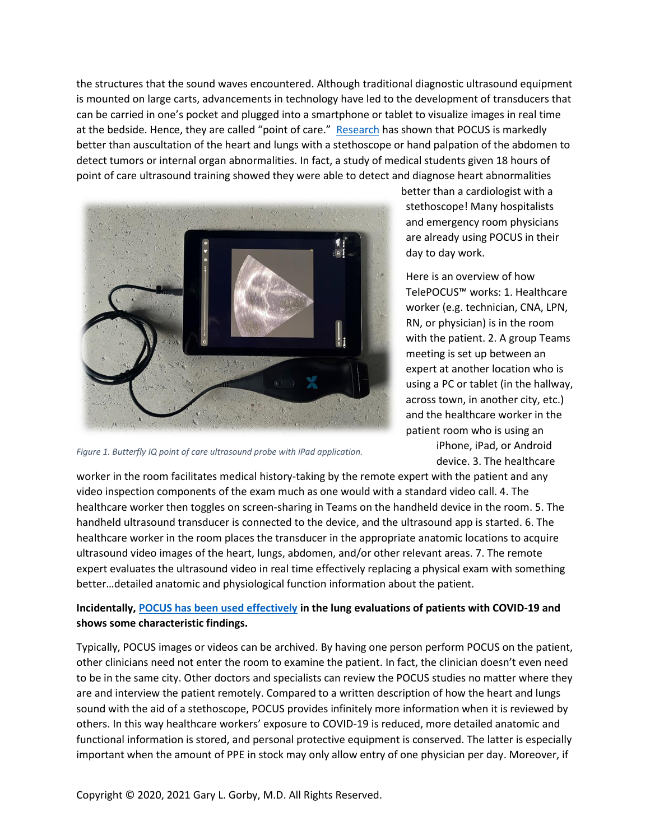the structures that the sound waves encountered. Although traditional diagnostic ultrasound equipment is mounted on large carts, advancements in technology have led to the development of transducers that can be carried in one's pocket and plugged into a smartphone or tablet to visualize images in real time at the bedside. Hence, they are called "point of care." [Research](https://global-uploads.webflow.com/5e332a62c703f653182faf47/5e332a62c703f60eee2fcfe6_Diprose%20FINAL.pdf) has shown that POCUS is markedly better than auscultation of the heart and lungs with a stethoscope or hand palpation of the abdomen to detect tumors or internal organ abnormalities. In fact, a study of medical students given 18 hours of point of care ultrasound training showed they were able to detect and diagnose heart abnormalities



*Figure 1. Butterfly IQ point of care ultrasound probe with iPad application.*

better than a cardiologist with a stethoscope! Many hospitalists and emergency room physicians are already using POCUS in their day to day work.

Here is an overview of how TelePOCUS™ works: 1. Healthcare worker (e.g. technician, CNA, LPN, RN, or physician) is in the room with the patient. 2. A group Teams meeting is set up between an expert at another location who is using a PC or tablet (in the hallway, across town, in another city, etc.) and the healthcare worker in the patient room who is using an iPhone, iPad, or Android device. 3. The healthcare

worker in the room facilitates medical history-taking by the remote expert with the patient and any video inspection components of the exam much as one would with a standard video call. 4. The healthcare worker then toggles on screen-sharing in Teams on the handheld device in the room. 5. The handheld ultrasound transducer is connected to the device, and the ultrasound app is started. 6. The healthcare worker in the room places the transducer in the appropriate anatomic locations to acquire ultrasound video images of the heart, lungs, abdomen, and/or other relevant areas. 7. The remote expert evaluates the ultrasound video in real time effectively replacing a physical exam with something better…detailed anatomic and physiological function information about the patient.

## **Incidentally[, POCUS has been used effectively](https://www.europeanreview.org/article/20549) in the lung evaluations of patients with COVID-19 and shows some characteristic findings.**

Typically, POCUS images or videos can be archived. By having one person perform POCUS on the patient, other clinicians need not enter the room to examine the patient. In fact, the clinician doesn't even need to be in the same city. Other doctors and specialists can review the POCUS studies no matter where they are and interview the patient remotely. Compared to a written description of how the heart and lungs sound with the aid of a stethoscope, POCUS provides infinitely more information when it is reviewed by others. In this way healthcare workers' exposure to COVID-19 is reduced, more detailed anatomic and functional information is stored, and personal protective equipment is conserved. The latter is especially important when the amount of PPE in stock may only allow entry of one physician per day. Moreover, if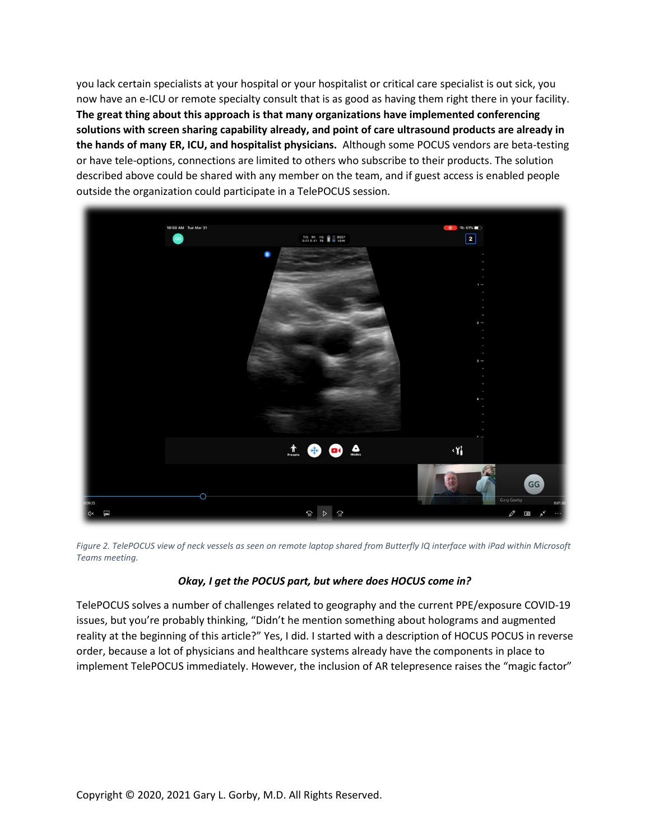you lack certain specialists at your hospital or your hospitalist or critical care specialist is out sick, you now have an e-ICU or remote specialty consult that is as good as having them right there in your facility. **The great thing about this approach is that many organizations have implemented conferencing solutions with screen sharing capability already, and point of care ultrasound products are already in the hands of many ER, ICU, and hospitalist physicians.** Although some POCUS vendors are beta-testing or have tele-options, connections are limited to others who subscribe to their products. The solution described above could be shared with any member on the team, and if guest access is enabled people outside the organization could participate in a TelePOCUS session.



*Figure 2. TelePOCUS view of neck vessels as seen on remote laptop shared from Butterfly IQ interface with iPad within Microsoft Teams meeting.*

### *Okay, I get the POCUS part, but where does HOCUS come in?*

TelePOCUS solves a number of challenges related to geography and the current PPE/exposure COVID-19 issues, but you're probably thinking, "Didn't he mention something about holograms and augmented reality at the beginning of this article?" Yes, I did. I started with a description of HOCUS POCUS in reverse order, because a lot of physicians and healthcare systems already have the components in place to implement TelePOCUS immediately. However, the inclusion of AR telepresence raises the "magic factor"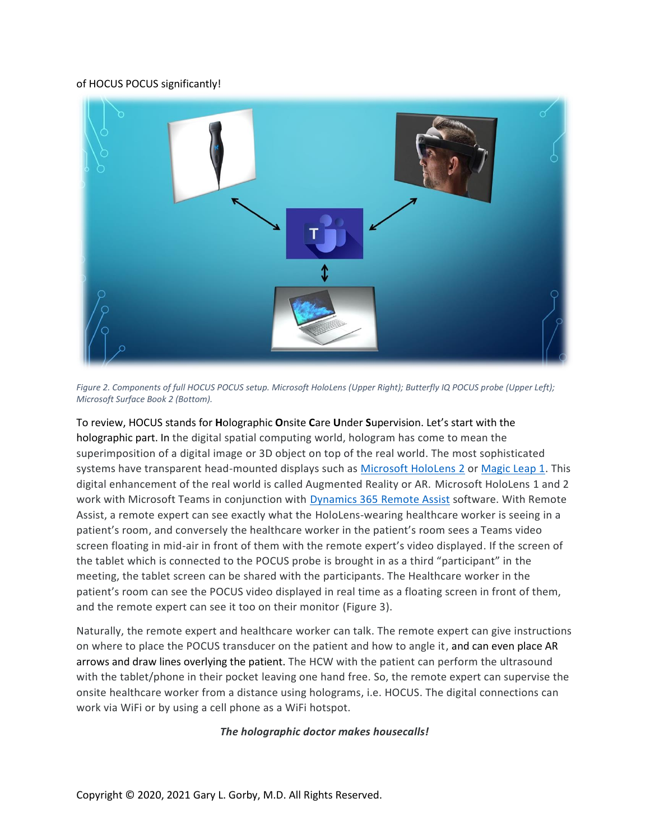#### of HOCUS POCUS significantly!



*Figure 2. Components of full HOCUS POCUS setup. Microsoft HoloLens (Upper Right); Butterfly IQ POCUS probe (Upper Left); Microsoft Surface Book 2 (Bottom).*

To review, HOCUS stands for **H**olographic **O**nsite **C**are **U**nder **S**upervision. Let's start with the holographic part. In the digital spatial computing world, hologram has come to mean the superimposition of a digital image or 3D object on top of the real world. The most sophisticated systems have transparent head-mounted displays such as [Microsoft HoloLens](https://www.microsoft.com/en-us/hololens/hardware) 2 or [Magic Leap 1.](https://www.magicleap.com/en-us/magic-leap-1) This digital enhancement of the real world is called Augmented Reality or AR. Microsoft HoloLens 1 and 2 work with Microsoft Teams in conjunction with [Dynamics 365 Remote Assist](https://dynamics.microsoft.com/en-us/mixed-reality/remote-assist/) software. With Remote Assist, a remote expert can see exactly what the HoloLens-wearing healthcare worker is seeing in a patient's room, and conversely the healthcare worker in the patient's room sees a Teams video screen floating in mid-air in front of them with the remote expert's video displayed. If the screen of the tablet which is connected to the POCUS probe is brought in as a third "participant" in the meeting, the tablet screen can be shared with the participants. The Healthcare worker in the patient's room can see the POCUS video displayed in real time as a floating screen in front of them, and the remote expert can see it too on their monitor (Figure 3).

Naturally, the remote expert and healthcare worker can talk. The remote expert can give instructions on where to place the POCUS transducer on the patient and how to angle it, and can even place AR arrows and draw lines overlying the patient. The HCW with the patient can perform the ultrasound with the tablet/phone in their pocket leaving one hand free. So, the remote expert can supervise the onsite healthcare worker from a distance using holograms, i.e. HOCUS. The digital connections can work via WiFi or by using a cell phone as a WiFi hotspot.

### *The holographic doctor makes housecalls!*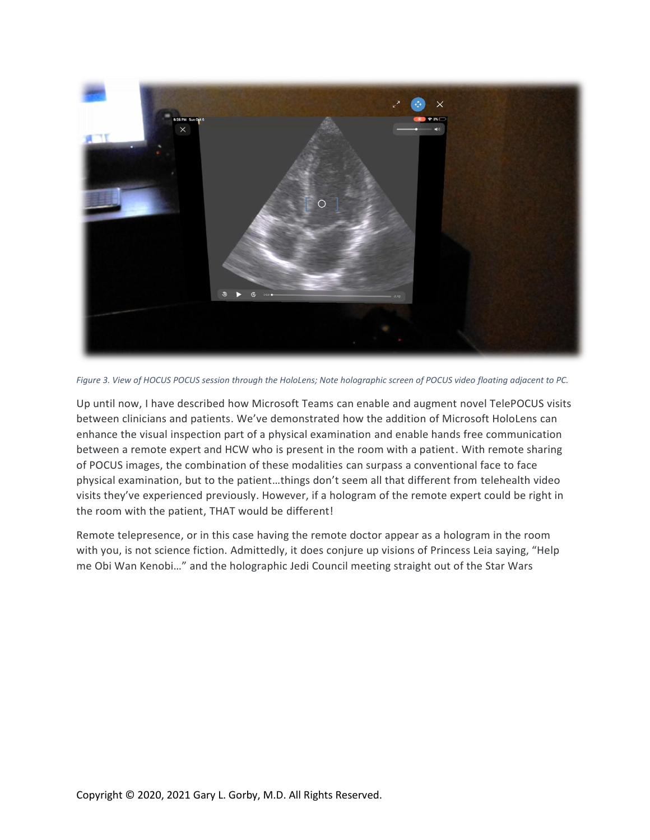

*Figure 3. View of HOCUS POCUS session through the HoloLens; Note holographic screen of POCUS video floating adjacent to PC.*

Up until now, I have described how Microsoft Teams can enable and augment novel TelePOCUS visits between clinicians and patients. We've demonstrated how the addition of Microsoft HoloLens can enhance the visual inspection part of a physical examination and enable hands free communication between a remote expert and HCW who is present in the room with a patient. With remote sharing of POCUS images, the combination of these modalities can surpass a conventional face to face physical examination, but to the patient…things don't seem all that different from telehealth video visits they've experienced previously. However, if a hologram of the remote expert could be right in the room with the patient, THAT would be different!

Remote telepresence, or in this case having the remote doctor appear as a hologram in the room with you, is not science fiction. Admittedly, it does conjure up visions of Princess Leia saying, "Help me Obi Wan Kenobi…" and the holographic Jedi Council meeting straight out of the Star Wars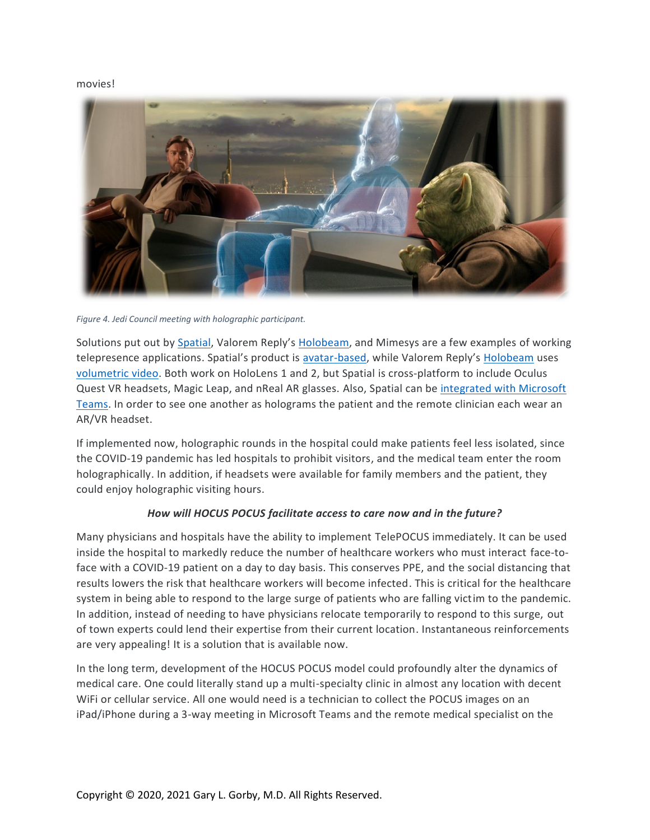#### movies!



*Figure 4. Jedi Council meeting with holographic participant.*

Solutions put out by [Spatial](https://spatial.io/), Valorem Reply's [Holobeam,](https://go.valorem.com/HoloBeam.html) and Mimesys are a few examples of working telepresence applications. Spatial's product is [avatar-based](https://www.youtube.com/watch?v=PG3tQYlZ6JQ), while Valorem Reply's [Holobeam](https://go.valorem.com/HoloBeam.html) uses [volumetric video.](https://www.youtube.com/watch?v=zuvXvGUZbFg&feature=youtu.be) Both work on HoloLens 1 and 2, but Spatial is cross-platform to include Oculus Quest VR headsets, Magic Leap, and nReal AR glasses. Also, Spatial can be [integrated with Microsoft](https://www.cnet.com/news/hololens-2-spatial-app-wants-to-bring-avengers-like-holograms-to-your-conference-room/)  [Teams.](https://www.cnet.com/news/hololens-2-spatial-app-wants-to-bring-avengers-like-holograms-to-your-conference-room/) In order to see one another as holograms the patient and the remote clinician each wear an AR/VR headset.

If implemented now, holographic rounds in the hospital could make patients feel less isolated, since the COVID-19 pandemic has led hospitals to prohibit visitors, and the medical team enter the room holographically. In addition, if headsets were available for family members and the patient, they could enjoy holographic visiting hours.

### *How will HOCUS POCUS facilitate access to care now and in the future?*

Many physicians and hospitals have the ability to implement TelePOCUS immediately. It can be used inside the hospital to markedly reduce the number of healthcare workers who must interact face-toface with a COVID-19 patient on a day to day basis. This conserves PPE, and the social distancing that results lowers the risk that healthcare workers will become infected. This is critical for the healthcare system in being able to respond to the large surge of patients who are falling victim to the pandemic. In addition, instead of needing to have physicians relocate temporarily to respond to this surge, out of town experts could lend their expertise from their current location. Instantaneous reinforcements are very appealing! It is a solution that is available now.

In the long term, development of the HOCUS POCUS model could profoundly alter the dynamics of medical care. One could literally stand up a multi-specialty clinic in almost any location with decent WiFi or cellular service. All one would need is a technician to collect the POCUS images on an iPad/iPhone during a 3-way meeting in Microsoft Teams and the remote medical specialist on the